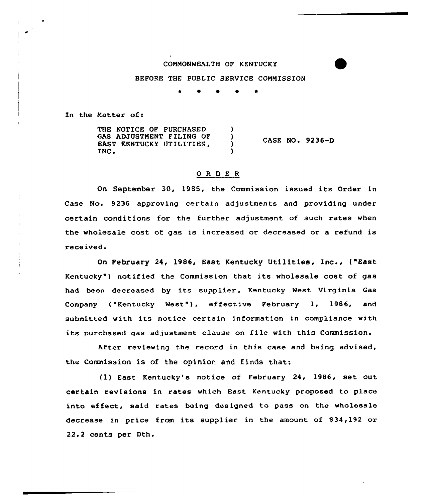## COMMONWEALTH OF KENTUCK Y

BEFORE THE PUBLIC SERVICE COMMISSION

0 0 \*

In the Matter of:

THE NOTICE OF PURCHASED GAS ADJUSTMENT FILING OF ) EAST KENTUCKY UTILITIES, INC. CASE NO <sup>~</sup> 9236-D

## 0 R <sup>D</sup> E <sup>R</sup>

On September 30, 1985, the Commission issued its Order in Case No. 9236 approving certain adjustments and providing under certain conditions for the further adjustment of such rates when the wholesale cost of gas is increased or decreased or a refund is received.

On February 24, 1986, East Kentucky Utilities, Inc., ("East Kentucky") notified the Commission that its wholesale cost of gas had been decreased by its supplier, Kentucky West Virginia Gas Company ("Kentucky Nest"), effective February 1, 1986, and submitted with its notice certain information in compliance with its purchased gas adjustment clause on file with this Commission.

After reviewing the record in this case and being advised, the Commission is of the opinion and finds that:

(1) East Kentucky's notice of February 24, 1986, set out certain revisions in rates which East Kentucky proposed to place into effect, said rates being designed to pass on the wholesale decrease in price from its supplier in the amount of  $$34,192$  or 22.2 cents per Dth.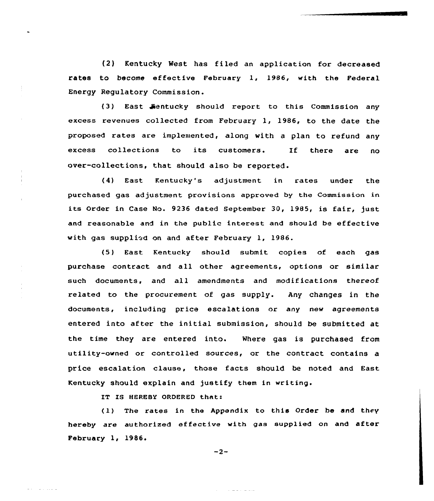(2) Kentucky West has fi led an application for decreased rates to become effective February 1, 1986, with the Federal Energy Regulatory Commission.

(3) East Sentucky should report to this Commission any excess revenues collected from February 1, 1986, to the date the proposed rates are implemented, along with a plan to refund any excess collections to its customers. If there are no over-collections, that should also be reported.

East Kentucky's adjustment in rates under the purchased gas adjustment provisions approved by the Commission in its Order in Case No. 9236 dated September 30, 1985, is fair, just and reasonable and in the public interest and should be effective with gas supplied on and after February 1, 1986.

(5) East Kentucky should submit copies of each gas purchase contract and all other agreements, options or similar such documents, and all amendments and modifications thereof related to the procurement of gas supply. Any changes in the documents, including price escalations or any new agreements entered into after the initial submission, should be submitted at the time they are entered into. Where gas is purchased from utility-owned or controlled sources, or the contract contains a price escalation clause, those facts should be noted and East Kentucky should explain and justify them in writing.

IT IS HEREBY ORDERED that:

 $\begin{array}{cccccccccccccc} \bot & \bot & \bot & \bot & \bot & \bot & \bot & \bot & \bot \end{array}$ 

(1} The rates in the Appendix to this Order be and they hereby are authorized effective with gas supplied on and after February 1, 1986.

 $-2-$ 

سيدعان والواليات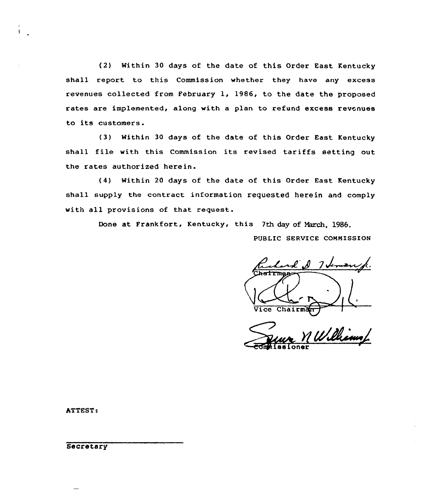(2) Within 30 days of the date of this Order East Kentucky shall report to this Commission whether they have any excess revenues collected from February 1, 1986, to the date the proposed rates are implemented, along with a plan to refund excess revenues to its customers.

(3) Within 30 days of the date of this Order East Kentucky shall file with this Commission its revised tariffs setting out the rates authorized herein.

(4) Within 20 days of the date of this Order East Kentucky shall supply the contract information requested herein and comply with all provisions of that request.

Done at Frankfort, Kentucky, this 7th day of March, 1986.

PUBLIC SERVICE CONNISSION

 $\mathcal{L}$ ,  $\mathcal{N}$ フェ Vice Chairman

11. Phim  $\overline{\text{co}}$ missione

ATTEST:

**Secretary**